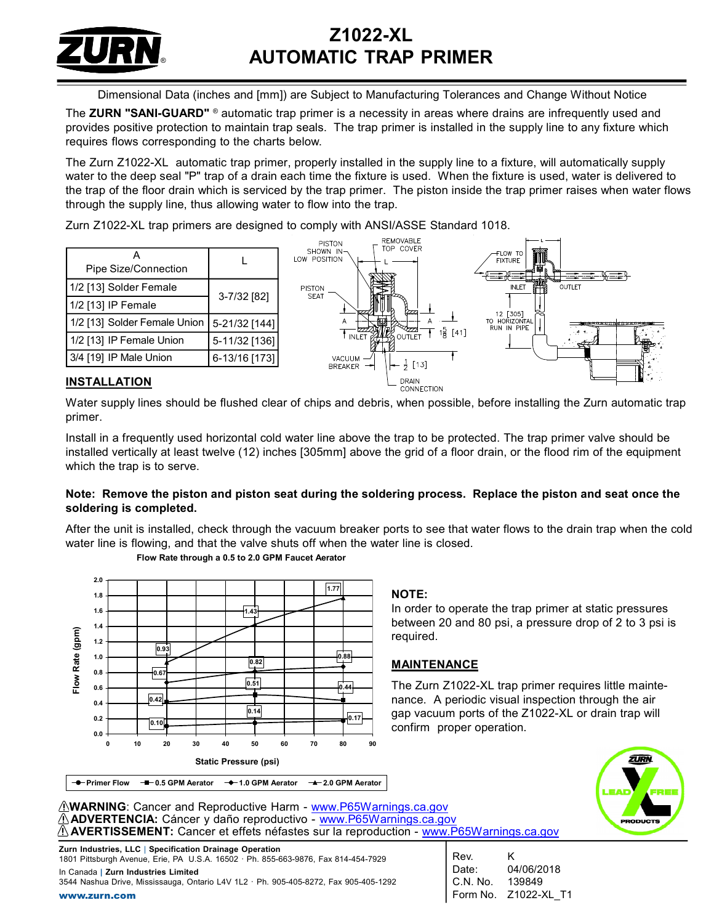

# Z1022-XL AUTOMATIC TRAP PRIMER

Dimensional Data (inches and [mm]) are Subject to Manufacturing Tolerances and Change Without Notice

The ZURN "SANI-GUARD" ® automatic trap primer is a necessity in areas where drains are infrequently used and provides positive protection to maintain trap seals. The trap primer is installed in the supply line to any fixture which requires flows corresponding to the charts below.

The Zurn Z1022-XL automatic trap primer, properly installed in the supply line to a fixture, will automatically supply water to the deep seal "P" trap of a drain each time the fixture is used. When the fixture is used, water is delivered to the trap of the floor drain which is serviced by the trap primer. The piston inside the trap primer raises when water flows through the supply line, thus allowing water to flow into the trap.

Zurn Z1022-XL trap primers are designed to comply with ANSI/ASSE Standard 1018.



## INSTALLATION

Water supply lines should be flushed clear of chips and debris, when possible, before installing the Zurn automatic trap primer.

Install in a frequently used horizontal cold water line above the trap to be protected. The trap primer valve should be installed vertically at least twelve (12) inches [305mm] above the grid of a floor drain, or the flood rim of the equipment which the trap is to serve.

### Note: Remove the piston and piston seat during the soldering process. Replace the piston and seat once the soldering is completed.

After the unit is installed, check through the vacuum breaker ports to see that water flows to the drain trap when the cold water line is flowing, and that the valve shuts off when the water line is closed.



#### Flow Rate through a 0.5 to 2.0 GPM Faucet Aerator

#### NOTE:

 $\begin{array}{|c|c|c|c|c|}\n\hline\n\text{143} & \text{In order to operate the trap primer at static pressures}\n\end{array}$ between 20 and 80 psi, a pressure drop of 2 to 3 psi is required.

 $\frac{0.51}{2}$   $\longrightarrow$  0.44 The Zurn Z1022-XL trap primer requires little maintenance. A periodic visual inspection through the air  $\frac{1}{2}$   $\frac{1}{2}$   $\frac{1}{2}$   $\frac{1}{2}$  gap vacuum ports of the Z1022-XL or drain trap will confirm proper operation.



WARNING: Cancer and Reproductive Harm - www.P65Warnings.ca.gov ADVERTENCIA: Cáncer y daño reproductivo - www.P65Warnings.ca.gov AVERTISSEMENT: Cancer et effets néfastes sur la reproduction - www.P65Warnings.ca.gov

Zurn Industries, LLC | Specification Drainage Operation 1801 Pittsburgh Avenue, Erie, PA U.S.A. 16502 · Ph. 855-663-9876, Fax 814-454-7929 In Canada | Zurn Industries Limited 3544 Nashua Drive, Mississauga, Ontario L4V 1L2 · Ph. 905-405-8272, Fax 905-405-1292

Rev. K Date: 04/06/2018 C.N. No. 139849 Form No. Z1022-XL\_T1